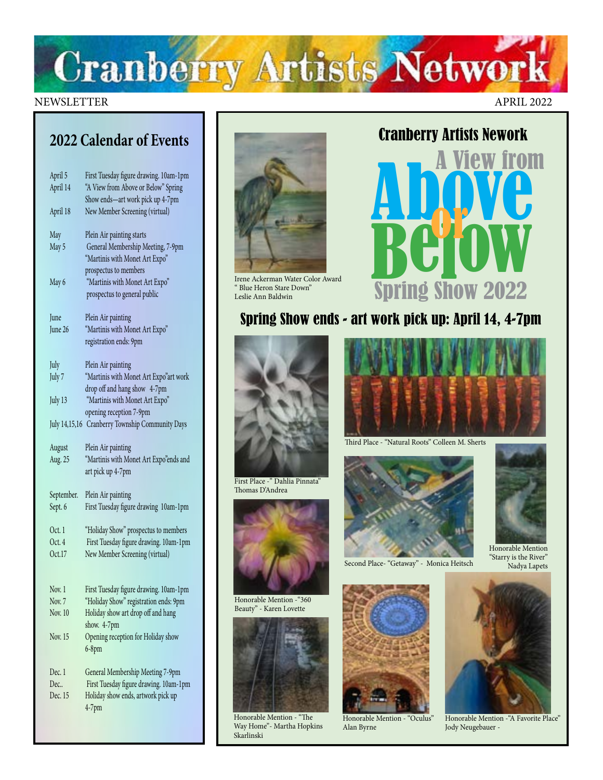

### NEWSLETTER APRIL 2022

# **2022 Calendar of Events**

| April 5<br>April 14 | First Tuesday figure drawing. 10am-1pm<br>"A View from Above or Below" Spring<br>Show ends-art work pick up 4-7pm |
|---------------------|-------------------------------------------------------------------------------------------------------------------|
| April 18            | New Member Screening (virtual)                                                                                    |
| May                 | Plein Air painting starts                                                                                         |
| May 5               | General Membership Meeting, 7-9pm<br>"Martinis with Monet Art Expo"                                               |
|                     | prospectus to members                                                                                             |
| May 6               | "Martinis with Monet Art Expo"<br>prospectus to general public                                                    |
| June                | Plein Air painting                                                                                                |
| June 26             | "Martinis with Monet Art Expo"<br>registration ends: 9pm                                                          |
| July                | Plein Air painting                                                                                                |
| July 7              | "Martinis with Monet Art Expo"art work                                                                            |
|                     | drop off and hang show 4-7pm                                                                                      |
| July 13             | "Martinis with Monet Art Expo"<br>opening reception 7-9pm                                                         |
| July 14,15,16       | Cranberry Township Community Days                                                                                 |
|                     |                                                                                                                   |
| August              | Plein Air painting                                                                                                |
| Aug. 25             | "Martinis with Monet Art Expo"ends and                                                                            |
|                     | art pick up 4-7pm                                                                                                 |
| September.          | Plein Air painting                                                                                                |
| Sept. 6             | First Tuesday figure drawing 10am-1pm                                                                             |
| Oct.1               | "Holiday Show" prospectus to members                                                                              |
| Oct. 4              | First Tuesday figure drawing. 10am-1pm                                                                            |
| Oct.17              | New Member Screening (virtual)                                                                                    |
| Nov. 1              |                                                                                                                   |
| Nov. 7              | First Tuesday figure drawing. 10am-1pm<br>"Holiday Show" registration ends: 9pm                                   |
| Nov. 10             | Holiday show art drop off and hang<br>show. 4-7pm                                                                 |
| Nov. 15             | Opening reception for Holiday show<br>$6-8$ pm                                                                    |
| Dec. 1              | General Membership Meeting 7-9pm                                                                                  |
| Dec<br>Dec. 15      | First Tuesday figure drawing. 10am-1pm<br>Holiday show ends, artwork pick up                                      |



Irene Ackerman Water Color Award " Blue Heron Stare Down" Leslie Ann Baldwin



# Spring Show ends - art work pick up: April 14, 4-7pm



First Place -" Dahlia Pinnata" Thomas D'Andrea



Honorable Mention -"360 Beauty" - Karen Lovette



Honorable Mention - "The Way Home"- Martha Hopkins Skarlinski



Third Place - "Natural Roots" Colleen M. Sherts



Second Place- "Getaway" - Monica Heitsch



Honorable Mention - "Oculus" Alan Byrne



Honorable Mention "Starry is the River" Nadya Lapets



Honorable Mention -"A Favorite Place" Jody Neugebauer -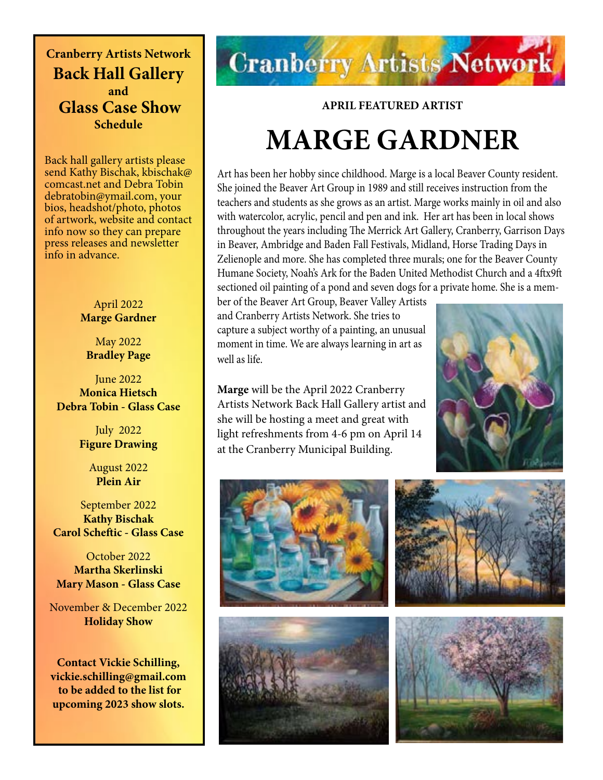**Cranberry Artists Network Back Hall Gallery and Glass Case Show Schedule** 

Back hall gallery artists please send Kathy Bischak, kbischak@ comcast.net and Debra Tobin debratobin@ymail.com, your bios, headshot/photo, photos of artwork, website and contact info now so they can prepare press releases and newsletter info in advance.

### April 2022 **Marge Gardner**

May 2022 **Bradley Page**

June 2022 **Monica Hietsch Debra Tobin - Glass Case**

> July 2022 **Figure Drawing**

> > August 2022 **Plein Air**

September 2022 **Kathy Bischak Carol Scheftic - Glass Case**

October 2022 **Martha Skerlinski Mary Mason - Glass Case**

November & December 2022 **Holiday Show**

**Contact Vickie Schilling, vickie.schilling@gmail.com to be added to the list for upcoming 2023 show slots.**

# **Cranberry Artists Network**

### **APRIL FEATURED ARTIST**

# **MARGE GARDNER**

Art has been her hobby since childhood. Marge is a local Beaver County resident. She joined the Beaver Art Group in 1989 and still receives instruction from the teachers and students as she grows as an artist. Marge works mainly in oil and also with watercolor, acrylic, pencil and pen and ink. Her art has been in local shows throughout the years including The Merrick Art Gallery, Cranberry, Garrison Days in Beaver, Ambridge and Baden Fall Festivals, Midland, Horse Trading Days in Zelienople and more. She has completed three murals; one for the Beaver County Humane Society, Noah's Ark for the Baden United Methodist Church and a 4ftx9ft sectioned oil painting of a pond and seven dogs for a private home. She is a mem-

ber of the Beaver Art Group, Beaver Valley Artists and Cranberry Artists Network. She tries to capture a subject worthy of a painting, an unusual moment in time. We are always learning in art as well as life.

**Marge** will be the April 2022 Cranberry Artists Network Back Hall Gallery artist and she will be hosting a meet and great with light refreshments from 4-6 pm on April 14 at the Cranberry Municipal Building.









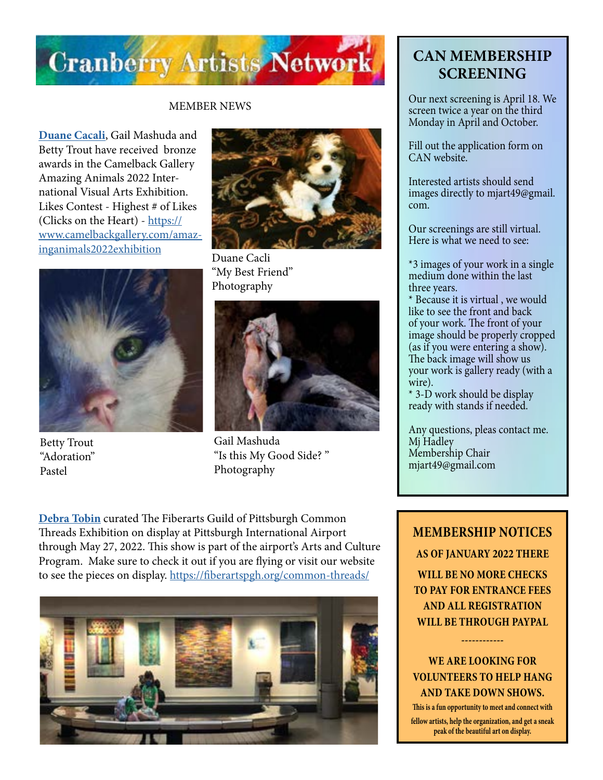

### MEMBER NEWS

**Duane Cacali**, Gail Mashuda and Betty Trout have received bronze awards in the Camelback Gallery Amazing Animals 2022 International Visual Arts Exhibition. Likes Contest - Highest # of Likes (Clicks on the Heart) - [https://](https://www.camelbackgallery.com/amazinganimals2022exhibition\) [www.camelbackgallery.com/amaz](https://www.camelbackgallery.com/amazinganimals2022exhibition\)[inganimals2022exhibition](https://www.camelbackgallery.com/amazinganimals2022exhibition\)



Betty Trout "Adoration" Pastel



Duane Cacli "My Best Friend" Photography



Gail Mashuda "Is this My Good Side? " Photography

**[Debra Tobin](http://debratobinart.com)** curated The Fiberarts Guild of Pittsburgh Common Threads Exhibition on display at Pittsburgh International Airport through May 27, 2022. This show is part of the airport's Arts and Culture Program. Make sure to check it out if you are flying or visit our website to see the pieces on display. [https://fiberartspgh.org/common-threads/](https://fiberartspgh.org/common-threads/
)



# **CAN MEMBERSHIP SCREENING**

Our next screening is April 18. We screen twice a year on the third Monday in April and October.

Fill out the application form on CAN website.

Interested artists should send images directly to mjart49@gmail. com.

Our screenings are still virtual. Here is what we need to see:

\*3 images of your work in a single medium done within the last three years.

\* Because it is virtual , we would like to see the front and back of your work. The front of your image should be properly cropped (as if you were entering a show). The back image will show us your work is gallery ready (with a wire).

\* 3-D work should be display ready with stands if needed.

Any questions, pleas contact me. Mj Hadley Membership Chair mjart49@gmail.com

**MEMBERSHIP NOTICES AS OF JANUARY 2022 THERE WILL BE NO MORE CHECKS TO PAY FOR ENTRANCE FEES AND ALL REGISTRATION WILL BE THROUGH PAYPAL** 

## **WE ARE LOOKING FOR VOLUNTEERS TO HELP HANG AND TAKE DOWN SHOWS.**

**------------**

**This is a fun opportunity to meet and connect with fellow artists, help the organization, and get a sneak peak of the beautiful art on display.**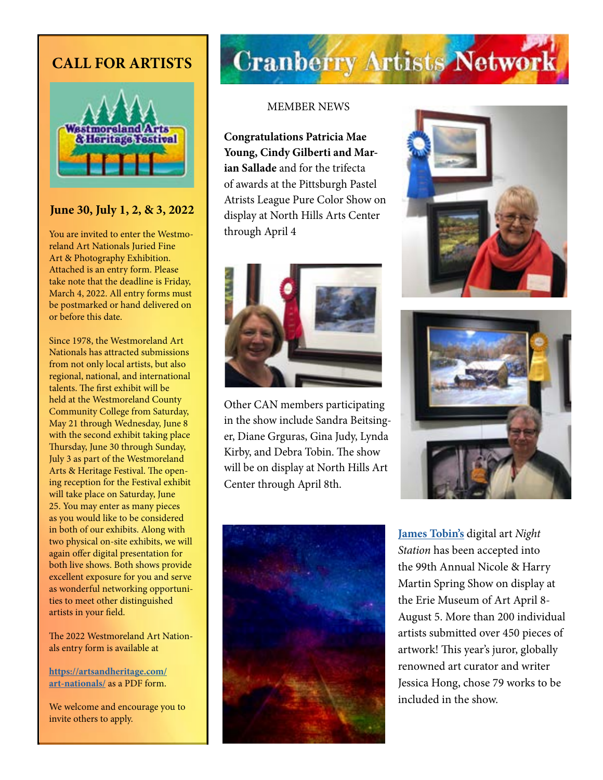# **CALL FOR ARTISTS**



## **June 30, July 1, 2, & 3, 2022**

You are invited to enter the Westmoreland Art Nationals Juried Fine Art & Photography Exhibition. Attached is an entry form. Please take note that the deadline is Friday, March 4, 2022. All entry forms must be postmarked or hand delivered on or before this date.

Since 1978, the Westmoreland Art Nationals has attracted submissions from not only local artists, but also regional, national, and international talents. The first exhibit will be held at the Westmoreland County Community College from Saturday, May 21 through Wednesday, June 8 with the second exhibit taking place Thursday, June 30 through Sunday, July 3 as part of the Westmoreland Arts & Heritage Festival. The opening reception for the Festival exhibit will take place on Saturday, June 25. You may enter as many pieces as you would like to be considered in both of our exhibits. Along with two physical on-site exhibits, we will again offer digital presentation for both live shows. Both shows provide excellent exposure for you and serve as wonderful networking opportunities to meet other distinguished artists in your field.

The 2022 Westmoreland Art Nationals entry form is available at

**[https://artsandheritage.com/](https://artsandheritage.com/art-nationals/) [art-nationals/](https://artsandheritage.com/art-nationals/)** as a PDF form.

We welcome and encourage you to invite others to apply.

# **Cranberry Artists Network**

### MEMBER NEWS

**Congratulations Patricia Mae Young, Cindy Gilberti and Marian Sallade** and for the trifecta of awards at the Pittsburgh Pastel Atrists League Pure Color Show on display at North Hills Arts Center through April 4



Other CAN members participating in the show include Sandra Beitsinger, Diane Grguras, Gina Judy, Lynda Kirby, and Debra Tobin. The show will be on display at North Hills Art Center through April 8th.







**[James Tobin's](http://jamestobinart.com)** digital art *Night Station* has been accepted into the 99th Annual Nicole & Harry Martin Spring Show on display at the Erie Museum of Art April 8- August 5. More than 200 individual artists submitted over 450 pieces of artwork! This year's juror, globally renowned art curator and writer Jessica Hong, chose 79 works to be included in the show.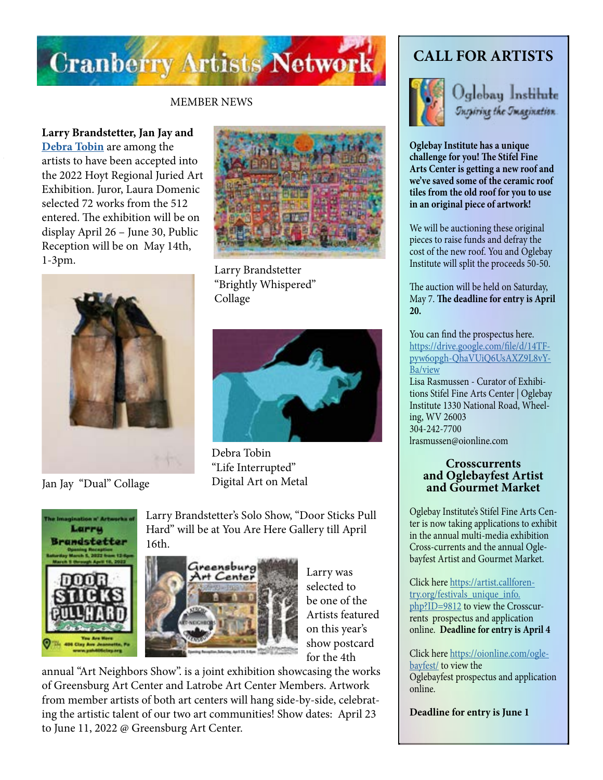

### MEMBER NEWS

**Larry Brandstetter, Jan Jay and [Debra Tobin](http://debtatobinart.com)** are among the artists to have been accepted into the 2022 Hoyt Regional Juried Art Exhibition. Juror, Laura Domenic selected 72 works from the 512 entered. The exhibition will be on display April 26 – June 30, Public Reception will be on May 14th, 1-3pm.



Jan Jay "Dual" Collage



Larry Brandstetter "Brightly Whispered" Collage



Debra Tobin "Life Interrupted" Digital Art on Metal



Larry Brandstetter's Solo Show, "Door Sticks Pull Hard" will be at You Are Here Gallery till April 16th.



Larry was selected to be one of the Artists featured on this year's show postcard for the 4th

annual "Art Neighbors Show". is a joint exhibition showcasing the works of Greensburg Art Center and Latrobe Art Center Members. Artwork from member artists of both art centers will hang side-by-side, celebrating the artistic talent of our two art communities! Show dates: April 23 to June 11, 2022 @ Greensburg Art Center.

# **CALL FOR ARTISTS**



Jglebay Institute Inspiring the Imagination.

**Oglebay Institute has a unique challenge for you! The Stifel Fine Arts Center is getting a new roof and we've saved some of the ceramic roof tiles from the old roof for you to use in an original piece of artwork!**

We will be auctioning these original pieces to raise funds and defray the cost of the new roof. You and Oglebay Institute will split the proceeds 50-50.

The auction will be held on Saturday, May 7. **The deadline for entry is April 20.**

You can find the prospectus here. [https://drive.google.com/file/d/14TF](https://drive.google.com/file/d/14TFpyw6opgh-QhaVUiQ6UsAXZ9L8vYBa/view
)[pyw6opgh-QhaVUiQ6UsAXZ9L8vY-](https://drive.google.com/file/d/14TFpyw6opgh-QhaVUiQ6UsAXZ9L8vYBa/view
)[Ba/view](https://drive.google.com/file/d/14TFpyw6opgh-QhaVUiQ6UsAXZ9L8vYBa/view
) Lisa Rasmussen - Curator of Exhibitions Stifel Fine Arts Center | Oglebay Institute 1330 National Road, Wheeling, WV 26003 304-242-7700 lrasmussen@oionline.com

### **Crosscurrents and Oglebayfest Artist and Gourmet Market**

Oglebay Institute's Stifel Fine Arts Center is now taking applications to exhibit in the annual multi-media exhibition Cross-currents and the annual Oglebayfest Artist and Gourmet Market.

Click here [https://artist.callforen](https://artist.callforentry.org/festivals_unique_info.php?ID=9812)[try.org/festivals\\_unique\\_info.](https://artist.callforentry.org/festivals_unique_info.php?ID=9812) [php?ID=9812](https://artist.callforentry.org/festivals_unique_info.php?ID=9812) to view the Crosscurrents prospectus and application online. **Deadline for entry is April 4**

Click here [https://oionline.com/ogle](https://oionline.com/oglebayfest/)[bayfest/](https://oionline.com/oglebayfest/) to view the Oglebayfest prospectus and application online.

**Deadline for entry is June 1**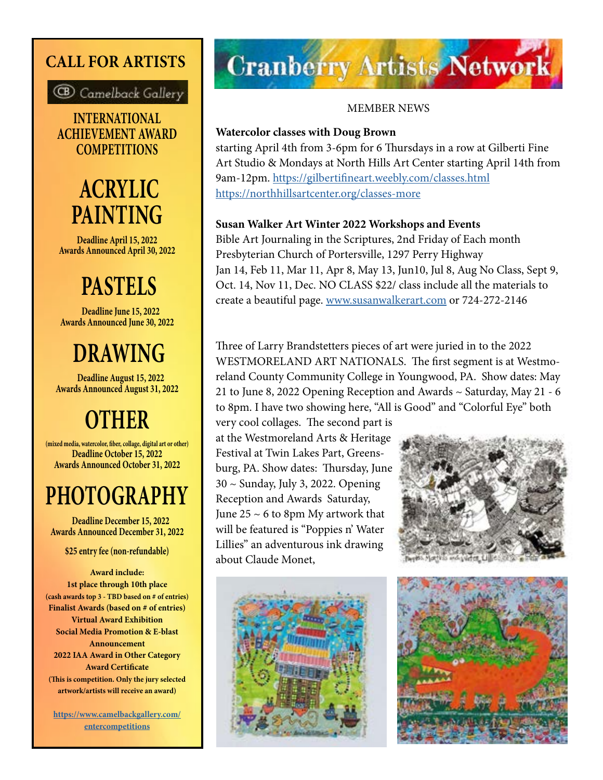# **CALL FOR ARTISTS**



**INTERNATIONAL ACHIEVEMENT AWARD COMPETITIONS**

# **ACRYLIC PAINTING**

**Deadline April 15, 2022 Awards Announced April 30, 2022**

# **PASTELS**

 **Deadline June 15, 2022 Awards Announced June 30, 2022**

# **DRAWING**

 **Deadline August 15, 2022 Awards Announced August 31, 2022**

# **OTHER**

**(mixed media, watercolor, fiber, collage, digital art or other) Deadline October 15, 2022 Awards Announced October 31, 2022**

# **PHOTOGRAPHY Deadline December 15, 2022**

**Awards Announced December 31, 2022**

**\$25 entry fee (non-refundable)**

**Award include: 1st place through 10th place (cash awards top 3 - TBD based on # of entries) Finalist Awards (based on # of entries) Virtual Award Exhibition Social Media Promotion & E-blast Announcement 2022 IAA Award in Other Category Award Certificate (This is competition. Only the jury selected artwork/artists will receive an award)**

**https://www.camelbackgallery.com/ entercompetitions**

# **Cranberry Artists Network**

## MEMBER NEWS

## **Watercolor classes with Doug Brown**

starting April 4th from 3-6pm for 6 Thursdays in a row at Gilberti Fine Art Studio & Mondays at North Hills Art Center starting April 14th from 9am-12pm.<https://gilbertifineart.weebly.com/classes.html> <https://northhillsartcenter.org/classes-more>

## **Susan Walker Art Winter 2022 Workshops and Events**

Bible Art Journaling in the Scriptures, 2nd Friday of Each month Presbyterian Church of Portersville, 1297 Perry Highway Jan 14, Feb 11, Mar 11, Apr 8, May 13, Jun10, Jul 8, Aug No Class, Sept 9, Oct. 14, Nov 11, Dec. NO CLASS \$22/ class include all the materials to create a beautiful page. [www.susanwalkerart.com](http://www.susanwalkerart.com) or 724-272-2146

Three of Larry Brandstetters pieces of art were juried in to the 2022 WESTMORELAND ART NATIONALS. The first segment is at Westmoreland County Community College in Youngwood, PA. Show dates: May 21 to June 8, 2022 Opening Reception and Awards ~ Saturday, May 21 - 6 to 8pm. I have two showing here, "All is Good" and "Colorful Eye" both

very cool collages. The second part is at the Westmoreland Arts & Heritage Festival at Twin Lakes Part, Greensburg, PA. Show dates: Thursday, June 30 ~ Sunday, July 3, 2022. Opening Reception and Awards Saturday, June  $25 \sim 6$  to 8pm My artwork that will be featured is "Poppies n' Water Lillies" an adventurous ink drawing about Claude Monet,





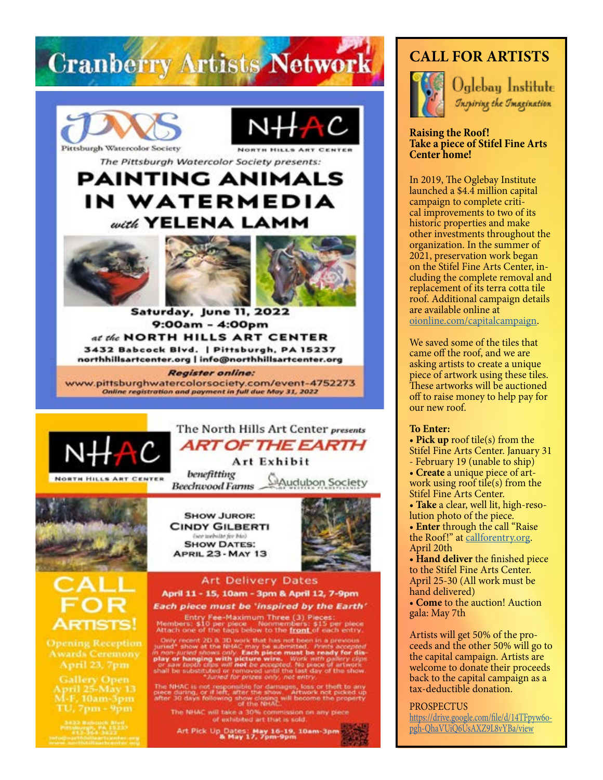

9:00am - 4:00pm at the NORTH HILLS ART CENTER 3432 Babcock Blvd. | Pittsburgh, PA 15237 northhillsartcenter.org | info@northhillsartcenter.org

**Register online:** www.pittsburghwatercolorsociety.com/event-4752273 Online registration and payment in full due May 31, 2022



**NORTH HILLS ART CENTER** 

The North Hills Art Center presents **ART OF THE EARTH** 

Art Exhibit

benefitting **Mudubon Society Beechwood Farms** 



**SHOW JUROR: CINDY GILBERTI** (see awbitte for bio) **SHOW DATES: APRIL 23 - MAY 13** 



### **Art Delivery Dates** April 11 - 15, 10am - 3pm & April 12, 7-9pm Each piece must be 'inspired by the Earth'

Entry Fee-Maximum Three (3) Pieces:<br>Members: \$10 per piece Monmembers: \$15 per piece<br>Attach one of the tags below to the front of each entry.

Only recent 2D a 3D work that has not been in a previous<br>juried\* show at the NHAC may be submitted. Prints accepted<br>in non-juried shows only. Each piece must be ready for dis-<br>play or hanging with picture wire, ... Work wi

The NHAC is not responsible for damages, loss or theft to any<br>piece during, or if left; after the show. Artwork not picked up<br>after 30 days following show closing will become the property<br>of the NHAC.

The NHAC will take a 30% commission on any piece<br>of exhibited art that is sold.

Art Pick Up Dates: May 16-19, 10am-3pm<br>- & May 17, 7pm-9pm

# **CALL FOR ARTISTS**



Oglebay Institute *Inspiring the Imagination* 

### **Raising the Roof! Take a piece of Stifel Fine Arts Center home!**

In 2019, The Oglebay Institute launched a \$4.4 million capital campaign to complete critical improvements to two of its historic properties and make other investments throughout the organization. In the summer of 2021, preservation work began on the Stifel Fine Arts Center, in cluding the complete removal and replacement of its terra cotta tile roof. Additional campaign details are available online at [oionline.com/capitalcampaign](http://oionline.com/capitalcampaign).

We saved some of the tiles that came off the roof, and we are asking artists to create a unique piece of artwork using these tiles. These artworks will be auctioned off to raise money to help pay for our new roof.

### **To Enter:**

- **Pick up** roof tile(s) from the
- Stifel Fine Arts Center. January 31 - February 19 (unable to ship)
- **Create** a unique piece of artwork using roof tile(s) from the
- Stifel Fine Arts Center. • **Take** a clear, well lit, high-reso-
- lution photo of the piece.

• **Enter** through the call "Raise the Roof!" at [callforentry.org](http://callforentry.org). April 20th

• **Hand deliver** the finished piece to the Stifel Fine Arts Center. April 25-30 (All work must be hand delivered)

• **Come** to the auction! Auction gala: May 7th

Artists will get 50% of the proceeds and the other 50% will go to the capital campaign. Artists are welcome to donate their proceeds back to the capital campaign as a tax-deductible donation.

#### PROSPECTUS

[https://drive.google.com/file/d/14TFpyw6o](https://drive.google.com/file/d/14TFpyw6opgh-QhaVUiQ6UsAXZ9L8vYBa/view)[pgh-QhaVUiQ6UsAXZ9L8vYBa/view](https://drive.google.com/file/d/14TFpyw6opgh-QhaVUiQ6UsAXZ9L8vYBa/view)

**Opening Reception** April 23, 7pm

**Gallery Open** April 25-May 13 M-F, 10am-3pm TU, 7pm - 9pm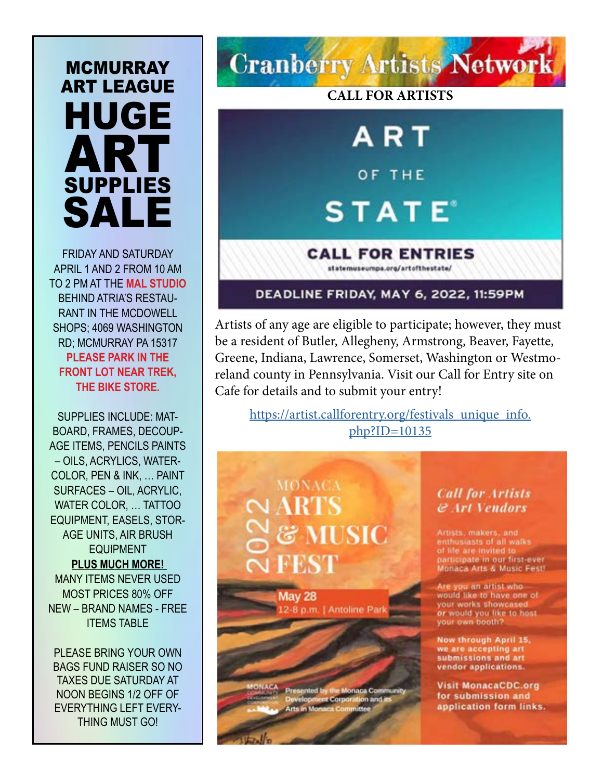# **MCMURRAY** ART LEAGUE HUGE **ART** SUPPLIES SALE

FRIDAY AND SATURDAY APRIL 1 AND 2 FROM 10 AM TO 2 PM AT THE **MAL STUDIO**  BEHIND ATRIA'S RESTAU-RANT IN THE MCDOWELL SHOPS; 4069 WASHINGTON RD; MCMURRAY PA 15317 **PLEASE PARK IN THE FRONT LOT NEAR TREK, THE BIKE STORE.** 

SUPPLIES INCLUDE: MAT-BOARD, FRAMES, DECOUP-AGE ITEMS, PENCILS PAINTS – OILS, ACRYLICS, WATER-COLOR, PEN & INK, … PAINT SURFACES – OIL, ACRYLIC, WATER COLOR, … TATTOO EQUIPMENT, EASELS, STOR-AGE UNITS, AIR BRUSH EQUIPMENT **PLUS MUCH MORE!**  MANY ITEMS NEVER USED MOST PRICES 80% OFF NEW – BRAND NAMES - FREE ITEMS TABLE

PLEASE BRING YOUR OWN BAGS FUND RAISER SO NO TAXES DUE SATURDAY AT NOON BEGINS 1/2 OFF OF EVERYTHING LEFT EVERY-THING MUST GO!



## DEADLINE FRIDAY, MAY 6, 2022, 11:59PM

Artists of any age are eligible to participate; however, they must be a resident of Butler, Allegheny, Armstrong, Beaver, Fayette, Greene, Indiana, Lawrence, Somerset, Washington or Westmoreland county in Pennsylvania. Visit our Call for Entry site on Cafe for details and to submit your entry!

[https://artist.callforentry.org/festivals\\_unique\\_info.](https://artist.callforentry.org/festivals_unique_info.php?ID=10135) [php?ID=10135](https://artist.callforentry.org/festivals_unique_info.php?ID=10135)

# **MONACA TUSIC J FEST**

**May 28** 12-8 p.m. | Antoline Park

ented by the Monaca Com tion and. **Arts in Mona** 

## **Call for Artists & Art Vendors**

Artists, makers, and enthusiasts of all walks of life are invited to participate in our first-ever Monaca Arts & Music Fest!

Are you an artist who would like to have one of your works showcased or would you like to host your own booth?

Now through April 15, we are accepting art submissions and art vendor applications.

**Visit MonacaCDC.org** for submission and application form links.